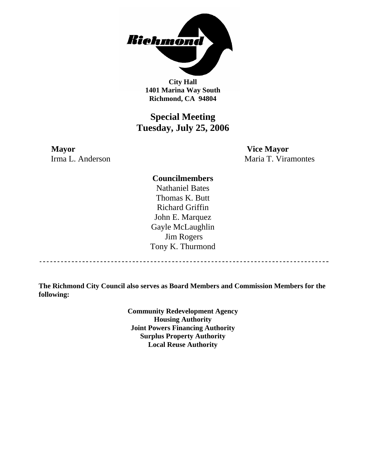

**City Hall 1401 Marina Way South Richmond, CA 94804** 

## **Special Meeting Tuesday, July 25, 2006**

**Mayor Vice Mayor** 

Irma L. Anderson Maria T. Viramontes

**Councilmembers** 

Nathaniel Bates Thomas K. Butt Richard Griffin John E. Marquez Gayle McLaughlin Jim Rogers Tony K. Thurmond

----------------------------------

**The Richmond City Council also serves as Board Members and Commission Members for the following:** 

> **Community Redevelopment Agency Housing Authority Joint Powers Financing Authority Surplus Property Authority Local Reuse Authority**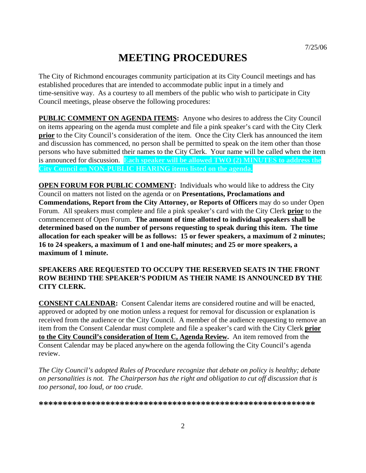# **MEETING PROCEDURES**

The City of Richmond encourages community participation at its City Council meetings and has established procedures that are intended to accommodate public input in a timely and time-sensitive way. As a courtesy to all members of the public who wish to participate in City Council meetings, please observe the following procedures:

**PUBLIC COMMENT ON AGENDA ITEMS:** Anyone who desires to address the City Council on items appearing on the agenda must complete and file a pink speaker's card with the City Clerk **prior** to the City Council's consideration of the item. Once the City Clerk has announced the item and discussion has commenced, no person shall be permitted to speak on the item other than those persons who have submitted their names to the City Clerk. Your name will be called when the item is announced for discussion. **Each speaker will be allowed TWO (2) MINUTES to address the City Council on NON-PUBLIC HEARING items listed on the agenda.** 

**OPEN FORUM FOR PUBLIC COMMENT:** Individuals who would like to address the City Council on matters not listed on the agenda or on **Presentations, Proclamations and Commendations, Report from the City Attorney, or Reports of Officers** may do so under Open Forum. All speakers must complete and file a pink speaker's card with the City Clerk **prior** to the commencement of Open Forum. **The amount of time allotted to individual speakers shall be determined based on the number of persons requesting to speak during this item. The time allocation for each speaker will be as follows: 15 or fewer speakers, a maximum of 2 minutes; 16 to 24 speakers, a maximum of 1 and one-half minutes; and 25 or more speakers, a maximum of 1 minute.** 

#### **SPEAKERS ARE REQUESTED TO OCCUPY THE RESERVED SEATS IN THE FRONT ROW BEHIND THE SPEAKER'S PODIUM AS THEIR NAME IS ANNOUNCED BY THE CITY CLERK.**

**CONSENT CALENDAR:** Consent Calendar items are considered routine and will be enacted, approved or adopted by one motion unless a request for removal for discussion or explanation is received from the audience or the City Council. A member of the audience requesting to remove an item from the Consent Calendar must complete and file a speaker's card with the City Clerk **prior to the City Council's consideration of Item C, Agenda Review.** An item removed from the Consent Calendar may be placed anywhere on the agenda following the City Council's agenda review.

*The City Council's adopted Rules of Procedure recognize that debate on policy is healthy; debate on personalities is not. The Chairperson has the right and obligation to cut off discussion that is too personal, too loud, or too crude.* 

**\*\*\*\*\*\*\*\*\*\*\*\*\*\*\*\*\*\*\*\*\*\*\*\*\*\*\*\*\*\*\*\*\*\*\*\*\*\*\*\*\*\*\*\*\*\*\*\*\*\*\*\*\*\*\*\*\*\***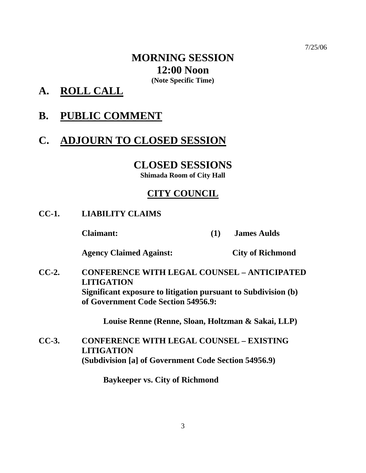## **MORNING SESSION 12:00 Noon (Note Specific Time)**

**A. ROLL CALL**

# **B. PUBLIC COMMENT**

# **C. ADJOURN TO CLOSED SESSION**

## **CLOSED SESSIONS**

**Shimada Room of City Hall** 

## **CITY COUNCIL**

**CC-1. LIABILITY CLAIMS** 

 **Claimant: (1) James Aulds** 

 **Agency Claimed Against: City of Richmond** 

**CC-2. CONFERENCE WITH LEGAL COUNSEL – ANTICIPATED LITIGATION Significant exposure to litigation pursuant to Subdivision (b) of Government Code Section 54956.9:** 

**Louise Renne (Renne, Sloan, Holtzman & Sakai, LLP)** 

**CC-3. CONFERENCE WITH LEGAL COUNSEL – EXISTING LITIGATION (Subdivision [a] of Government Code Section 54956.9)** 

 **Baykeeper vs. City of Richmond**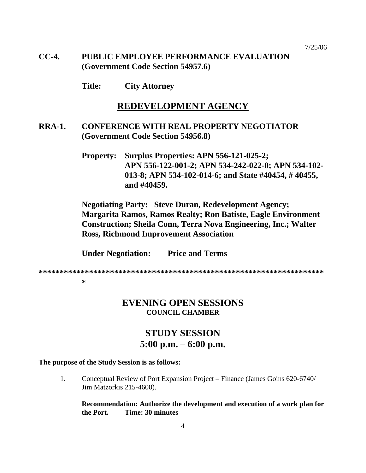### **CC-4. PUBLIC EMPLOYEE PERFORMANCE EVALUATION (Government Code Section 54957.6)**

 **Title: City Attorney** 

### **REDEVELOPMENT AGENCY**

**RRA-1. CONFERENCE WITH REAL PROPERTY NEGOTIATOR (Government Code Section 54956.8)** 

> **Property: Surplus Properties: APN 556-121-025-2; APN 556-122-001-2; APN 534-242-022-0; APN 534-102- 013-8; APN 534-102-014-6; and State #40454, # 40455, and #40459.**

**Negotiating Party: Steve Duran, Redevelopment Agency; Margarita Ramos, Ramos Realty; Ron Batiste, Eagle Environment Construction; Sheila Conn, Terra Nova Engineering, Inc.; Walter Ross, Richmond Improvement Association** 

 **Under Negotiation: Price and Terms** 

**\*\*\*\*\*\*\*\*\*\*\*\*\*\*\*\*\*\*\*\*\*\*\*\*\*\*\*\*\*\*\*\*\*\*\*\*\*\*\*\*\*\*\*\*\*\*\*\*\*\*\*\*\*\*\*\*\*\*\*\*\*\*\*\*\*\*\*\***

#### **\***

### **EVENING OPEN SESSIONS COUNCIL CHAMBER**

## **STUDY SESSION 5:00 p.m. – 6:00 p.m.**

#### **The purpose of the Study Session is as follows:**

1. Conceptual Review of Port Expansion Project – Finance (James Goins 620-6740/ Jim Matzorkis 215-4600).

**Recommendation: Authorize the development and execution of a work plan for the Port. Time: 30 minutes**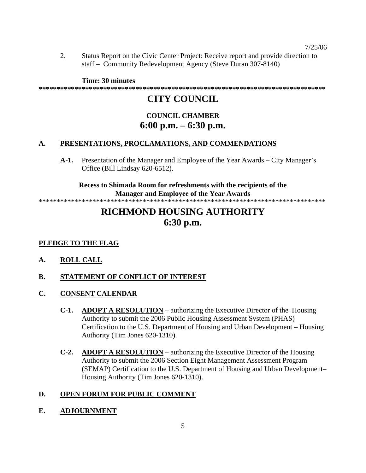2. Status Report on the Civic Center Project: Receive report and provide direction to staff – Community Redevelopment Agency (Steve Duran 307-8140)

**Time: 30 minutes** 

#### **\*\*\*\*\*\*\*\*\*\*\*\*\*\*\*\*\*\*\*\*\*\*\*\*\*\*\*\*\*\*\*\*\*\*\*\*\*\*\*\*\*\*\*\*\*\*\*\*\*\*\*\*\*\*\*\*\*\*\*\*\*\*\*\*\*\*\*\*\*\*\*\*\*\*\*\*\*\*\*\***

## **CITY COUNCIL**

## **COUNCIL CHAMBER 6:00 p.m. – 6:30 p.m.**

#### **A. PRESENTATIONS, PROCLAMATIONS, AND COMMENDATIONS**

**A-1.** Presentation of the Manager and Employee of the Year Awards – City Manager's Office (Bill Lindsay 620-6512).

**Recess to Shimada Room for refreshments with the recipients of the Manager and Employee of the Year Awards** 

\*\*\*\*\*\*\*\*\*\*\*\*\*\*\*\*\*\*\*\*\*\*\*\*\*\*\*\*\*\*\*\*\*\*\*\*\*\*\*\*\*\*\*\*\*\*\*\*\*\*\*\*\*\*\*\*\*\*\*\*\*\*\*\*\*\*\*\*\*\*\*\*\*\*\*\*\*\*\*\*

## **RICHMOND HOUSING AUTHORITY 6:30 p.m.**

### **PLEDGE TO THE FLAG**

- **A. ROLL CALL**
- **B. STATEMENT OF CONFLICT OF INTEREST**
- **C. CONSENT CALENDAR**
	- **C-1. ADOPT A RESOLUTION** authorizing the Executive Director of the Housing Authority to submit the 2006 Public Housing Assessment System (PHAS) Certification to the U.S. Department of Housing and Urban Development – Housing Authority (Tim Jones 620-1310).
	- **C-2. ADOPT A RESOLUTION** authorizing the Executive Director of the Housing Authority to submit the 2006 Section Eight Management Assessment Program (SEMAP) Certification to the U.S. Department of Housing and Urban Development– Housing Authority (Tim Jones 620-1310).

### **D. OPEN FORUM FOR PUBLIC COMMENT**

**E. ADJOURNMENT**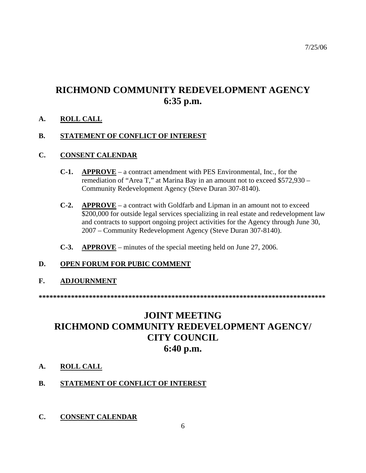# **RICHMOND COMMUNITY REDEVELOPMENT AGENCY 6:35 p.m.**

### **A. ROLL CALL**

### **B. STATEMENT OF CONFLICT OF INTEREST**

#### **C. CONSENT CALENDAR**

- **C-1. APPROVE** a contract amendment with PES Environmental, Inc., for the remediation of "Area T," at Marina Bay in an amount not to exceed \$572,930 – Community Redevelopment Agency (Steve Duran 307-8140).
- **C-2. APPROVE** a contract with Goldfarb and Lipman in an amount not to exceed \$200,000 for outside legal services specializing in real estate and redevelopment law and contracts to support ongoing project activities for the Agency through June 30, 2007 – Community Redevelopment Agency (Steve Duran 307-8140).
- **C-3. APPROVE** minutes of the special meeting held on June 27, 2006.

### **D. OPEN FORUM FOR PUBIC COMMENT**

### **F. ADJOURNMENT**

**\*\*\*\*\*\*\*\*\*\*\*\*\*\*\*\*\*\*\*\*\*\*\*\*\*\*\*\*\*\*\*\*\*\*\*\*\*\*\*\*\*\*\*\*\*\*\*\*\*\*\*\*\*\*\*\*\*\*\*\*\*\*\*\*\*\*\*\*\*\*\*\*\*\*\*\*\*\*\*\*** 

# **JOINT MEETING RICHMOND COMMUNITY REDEVELOPMENT AGENCY/ CITY COUNCIL 6:40 p.m.**

### **A. ROLL CALL**

### **B. STATEMENT OF CONFLICT OF INTEREST**

**C. CONSENT CALENDAR**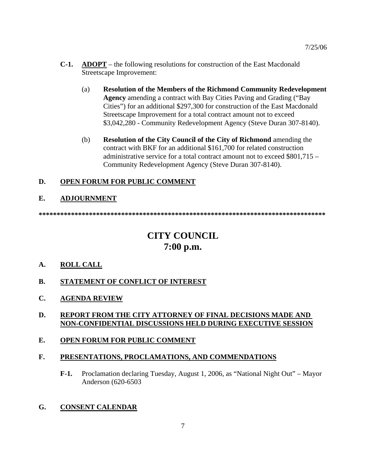- **C-1. ADOPT** the following resolutions for construction of the East Macdonald Streetscape Improvement:
	- (a) **Resolution of the Members of the Richmond Community Redevelopment Agency** amending a contract with Bay Cities Paving and Grading ("Bay Cities") for an additional \$297,300 for construction of the East Macdonald Streetscape Improvement for a total contract amount not to exceed \$3,042,280 - Community Redevelopment Agency (Steve Duran 307-8140).
	- (b) **Resolution of the City Council of the City of Richmond** amending the contract with BKF for an additional \$161,700 for related construction administrative service for a total contract amount not to exceed \$801,715 – Community Redevelopment Agency (Steve Duran 307-8140).

### **D. OPEN FORUM FOR PUBLIC COMMENT**

### **E. ADJOURNMENT**

**\*\*\*\*\*\*\*\*\*\*\*\*\*\*\*\*\*\*\*\*\*\*\*\*\*\*\*\*\*\*\*\*\*\*\*\*\*\*\*\*\*\*\*\*\*\*\*\*\*\*\*\*\*\*\*\*\*\*\*\*\*\*\*\*\*\*\*\*\*\*\*\*\*\*\*\*\*\*\*\*** 

# **CITY COUNCIL 7:00 p.m.**

- **A. ROLL CALL**
- **B. STATEMENT OF CONFLICT OF INTEREST**
- **C. AGENDA REVIEW**

### **D. REPORT FROM THE CITY ATTORNEY OF FINAL DECISIONS MADE AND NON-CONFIDENTIAL DISCUSSIONS HELD DURING EXECUTIVE SESSION**

**E. OPEN FORUM FOR PUBLIC COMMENT**

### **F. PRESENTATIONS, PROCLAMATIONS, AND COMMENDATIONS**

**F-1.** Proclamation declaring Tuesday, August 1, 2006, as "National Night Out" – Mayor Anderson (620-6503

### **G. CONSENT CALENDAR**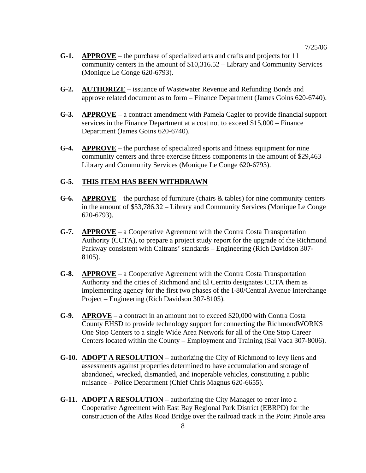- **G-1. APPROVE** the purchase of specialized arts and crafts and projects for 11 community centers in the amount of \$10,316.52 – Library and Community Services (Monique Le Conge 620-6793).
- **G-2. AUTHORIZE** issuance of Wastewater Revenue and Refunding Bonds and approve related document as to form – Finance Department (James Goins 620-6740).
- **G-3. APPROVE** a contract amendment with Pamela Cagler to provide financial support services in the Finance Department at a cost not to exceed \$15,000 – Finance Department (James Goins 620-6740).
- **G-4. APPROVE** the purchase of specialized sports and fitness equipment for nine community centers and three exercise fitness components in the amount of \$29,463 – Library and Community Services (Monique Le Conge 620-6793).

#### **G-5. THIS ITEM HAS BEEN WITHDRAWN**

- **G-6.** APPROVE the purchase of furniture (chairs  $\&$  tables) for nine community centers in the amount of \$53,786.32 – Library and Community Services (Monique Le Conge 620-6793).
- **G-7. APPROVE** a Cooperative Agreement with the Contra Costa Transportation Authority (CCTA), to prepare a project study report for the upgrade of the Richmond Parkway consistent with Caltrans' standards – Engineering (Rich Davidson 307- 8105).
- **G-8. APPROVE** a Cooperative Agreement with the Contra Costa Transportation Authority and the cities of Richmond and El Cerrito designates CCTA them as implementing agency for the first two phases of the I-80/Central Avenue Interchange Project – Engineering (Rich Davidson 307-8105).
- **G-9. APROVE** a contract in an amount not to exceed \$20,000 with Contra Costa County EHSD to provide technology support for connecting the RichmondWORKS One Stop Centers to a single Wide Area Network for all of the One Stop Career Centers located within the County – Employment and Training (Sal Vaca 307-8006).
- **G-10. ADOPT A RESOLUTION** authorizing the City of Richmond to levy liens and assessments against properties determined to have accumulation and storage of abandoned, wrecked, dismantled, and inoperable vehicles, constituting a public nuisance – Police Department (Chief Chris Magnus 620-6655).
- **G-11. ADOPT A RESOLUTION** authorizing the City Manager to enter into a Cooperative Agreement with East Bay Regional Park District (EBRPD) for the construction of the Atlas Road Bridge over the railroad track in the Point Pinole area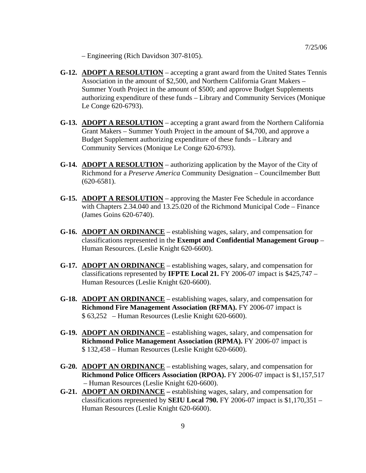– Engineering (Rich Davidson 307-8105).

- **G-12. ADOPT A RESOLUTION** accepting a grant award from the United States Tennis Association in the amount of \$2,500, and Northern California Grant Makers – Summer Youth Project in the amount of \$500; and approve Budget Supplements authorizing expenditure of these funds – Library and Community Services (Monique Le Conge 620-6793).
- **G-13. ADOPT A RESOLUTION** accepting a grant award from the Northern California Grant Makers – Summer Youth Project in the amount of \$4,700, and approve a Budget Supplement authorizing expenditure of these funds – Library and Community Services (Monique Le Conge 620-6793).
- **G-14. ADOPT A RESOLUTION** authorizing application by the Mayor of the City of Richmond for a *Preserve America* Community Designation – Councilmember Butt (620-6581).
- **G-15. ADOPT A RESOLUTION** approving the Master Fee Schedule in accordance with Chapters 2.34.040 and 13.25.020 of the Richmond Municipal Code – Finance (James Goins 620-6740).
- **G-16. ADOPT AN ORDINANCE** establishing wages, salary, and compensation for classifications represented in the **Exempt and Confidential Management Group** – Human Resources. (Leslie Knight 620-6600).
- **G-17. ADOPT AN ORDINANCE** establishing wages, salary, and compensation for classifications represented by **IFPTE Local 21.** FY 2006-07 impact is \$425,747 – Human Resources (Leslie Knight 620-6600).
- **G-18. ADOPT AN ORDINANCE** establishing wages, salary, and compensation for **Richmond Fire Management Association (RFMA).** FY 2006-07 impact is \$ 63,252 – Human Resources (Leslie Knight 620-6600).
- **G-19. ADOPT AN ORDINANCE** establishing wages, salary, and compensation for **Richmond Police Management Association (RPMA).** FY 2006-07 impact is \$ 132,458 – Human Resources (Leslie Knight 620-6600).
- **G-20. ADOPT AN ORDINANCE** establishing wages, salary, and compensation for **Richmond Police Officers Association (RPOA).** FY 2006-07 impact is \$1,157,517 – Human Resources (Leslie Knight 620-6600).
- **G-21. ADOPT AN ORDINANCE** establishing wages, salary, and compensation for classifications represented by **SEIU Local 790.** FY 2006-07 impact is \$1,170,351 – Human Resources (Leslie Knight 620-6600).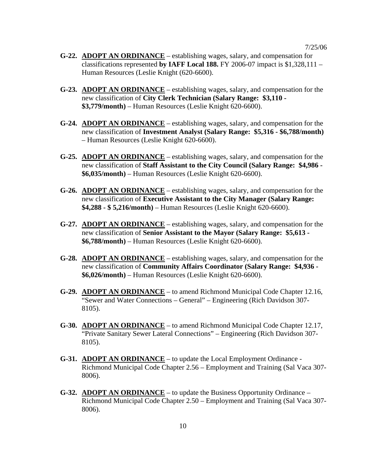- **G-22. ADOPT AN ORDINANCE** establishing wages, salary, and compensation for classifications represented **by IAFF Local 188.** FY 2006-07 impact is \$1,328,111 – Human Resources (Leslie Knight (620-6600).
- **G-23. ADOPT AN ORDINANCE** establishing wages, salary, and compensation for the new classification of **City Clerk Technician (Salary Range: \$3,110 - \$3,779/month)** – Human Resources (Leslie Knight 620-6600).
- **G-24. ADOPT AN ORDINANCE** establishing wages, salary, and compensation for the new classification of **Investment Analyst (Salary Range: \$5,316 - \$6,788/month)** – Human Resources (Leslie Knight 620-6600).
- **G-25. ADOPT AN ORDINANCE** establishing wages, salary, and compensation for the new classification of **Staff Assistant to the City Council (Salary Range: \$4,986 - \$6,035/month)** – Human Resources (Leslie Knight 620-6600).
- **G-26. ADOPT AN ORDINANCE** establishing wages, salary, and compensation for the new classification of **Executive Assistant to the City Manager (Salary Range: \$4,288 - \$ 5,216/month)** – Human Resources (Leslie Knight 620-6600).
- **G-27. ADOPT AN ORDINANCE** establishing wages, salary, and compensation for the new classification of **Senior Assistant to the Mayor (Salary Range: \$5,613 - \$6,788/month)** – Human Resources (Leslie Knight 620-6600).
- **G-28. ADOPT AN ORDINANCE** establishing wages, salary, and compensation for the new classification of **Community Affairs Coordinator (Salary Range: \$4,936 - \$6,026/month)** – Human Resources (Leslie Knight 620-6600).
- **G-29. ADOPT AN ORDINANCE** to amend Richmond Municipal Code Chapter 12.16, "Sewer and Water Connections – General" – Engineering (Rich Davidson 307- 8105).
- **G-30. ADOPT AN ORDINANCE** to amend Richmond Municipal Code Chapter 12.17, "Private Sanitary Sewer Lateral Connections" – Engineering (Rich Davidson 307- 8105).
- **G-31. ADOPT AN ORDINANCE** to update the Local Employment Ordinance Richmond Municipal Code Chapter 2.56 – Employment and Training (Sal Vaca 307- 8006).
- **G-32. ADOPT AN ORDINANCE** to update the Business Opportunity Ordinance Richmond Municipal Code Chapter 2.50 – Employment and Training (Sal Vaca 307- 8006).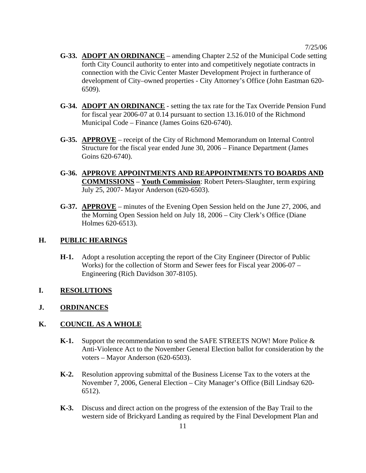- **G-33. ADOPT AN ORDINANCE** amending Chapter 2.52 of the Municipal Code setting forth City Council authority to enter into and competitively negotiate contracts in connection with the Civic Center Master Development Project in furtherance of development of City–owned properties - City Attorney's Office (John Eastman 620- 6509).
- **G-34. ADOPT AN ORDINANCE** setting the tax rate for the Tax Override Pension Fund for fiscal year 2006-07 at 0.14 pursuant to section 13.16.010 of the Richmond Municipal Code – Finance (James Goins 620-6740).
- **G-35. APPROVE** receipt of the City of Richmond Memorandum on Internal Control Structure for the fiscal year ended June 30, 2006 – Finance Department (James Goins 620-6740).
- **G-36. APPROVE APPOINTMENTS AND REAPPOINTMENTS TO BOARDS AND COMMISSIONS** – **Youth Commission**: Robert Peters-Slaughter, term expiring July 25, 2007- Mayor Anderson (620-6503).
- **G-37. APPROVE** minutes of the Evening Open Session held on the June 27, 2006, and the Morning Open Session held on July 18, 2006 – City Clerk's Office (Diane Holmes 620-6513).

#### **H. PUBLIC HEARINGS**

**H-1.** Adopt a resolution accepting the report of the City Engineer (Director of Public Works) for the collection of Storm and Sewer fees for Fiscal year 2006-07 – Engineering (Rich Davidson 307-8105).

### **I. RESOLUTIONS**

### **J. ORDINANCES**

### **K. COUNCIL AS A WHOLE**

- **K-1.** Support the recommendation to send the SAFE STREETS NOW! More Police & Anti-Violence Act to the November General Election ballot for consideration by the voters – Mayor Anderson (620-6503).
- **K-2.** Resolution approving submittal of the Business License Tax to the voters at the November 7, 2006, General Election – City Manager's Office (Bill Lindsay 620- 6512).
- **K-3.** Discuss and direct action on the progress of the extension of the Bay Trail to the western side of Brickyard Landing as required by the Final Development Plan and